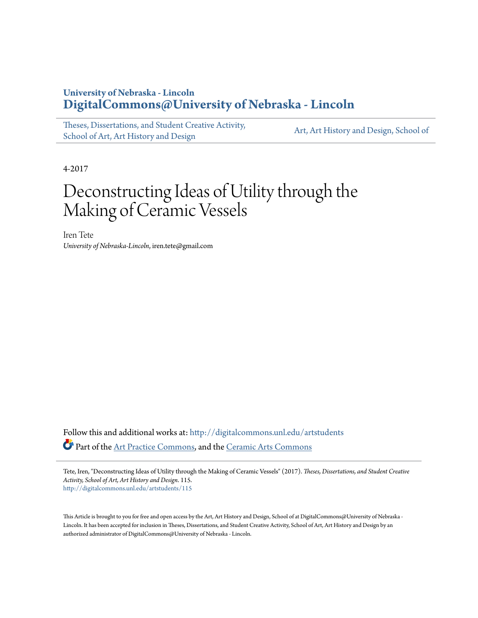## **University of Nebraska - Lincoln [DigitalCommons@University of Nebraska - Lincoln](http://digitalcommons.unl.edu?utm_source=digitalcommons.unl.edu%2Fartstudents%2F115&utm_medium=PDF&utm_campaign=PDFCoverPages)**

[Theses, Dissertations, and Student Creative Activity,](http://digitalcommons.unl.edu/artstudents?utm_source=digitalcommons.unl.edu%2Fartstudents%2F115&utm_medium=PDF&utm_campaign=PDFCoverPages) [School of Art, Art History and Design](http://digitalcommons.unl.edu/artstudents?utm_source=digitalcommons.unl.edu%2Fartstudents%2F115&utm_medium=PDF&utm_campaign=PDFCoverPages)

[Art, Art History and Design, School of](http://digitalcommons.unl.edu/art?utm_source=digitalcommons.unl.edu%2Fartstudents%2F115&utm_medium=PDF&utm_campaign=PDFCoverPages)

4-2017

## Deconstructing Ideas of Utility through the Making of Ceramic Vessels

Iren Tete *University of Nebraska-Lincoln*, iren.tete@gmail.com

Follow this and additional works at: [http://digitalcommons.unl.edu/artstudents](http://digitalcommons.unl.edu/artstudents?utm_source=digitalcommons.unl.edu%2Fartstudents%2F115&utm_medium=PDF&utm_campaign=PDFCoverPages) Part of the [Art Practice Commons](http://network.bepress.com/hgg/discipline/509?utm_source=digitalcommons.unl.edu%2Fartstudents%2F115&utm_medium=PDF&utm_campaign=PDFCoverPages), and the [Ceramic Arts Commons](http://network.bepress.com/hgg/discipline/1336?utm_source=digitalcommons.unl.edu%2Fartstudents%2F115&utm_medium=PDF&utm_campaign=PDFCoverPages)

Tete, Iren, "Deconstructing Ideas of Utility through the Making of Ceramic Vessels" (2017). *Theses, Dissertations, and Student Creative Activity, School of Art, Art History and Design*. 115. [http://digitalcommons.unl.edu/artstudents/115](http://digitalcommons.unl.edu/artstudents/115?utm_source=digitalcommons.unl.edu%2Fartstudents%2F115&utm_medium=PDF&utm_campaign=PDFCoverPages)

This Article is brought to you for free and open access by the Art, Art History and Design, School of at DigitalCommons@University of Nebraska -Lincoln. It has been accepted for inclusion in Theses, Dissertations, and Student Creative Activity, School of Art, Art History and Design by an authorized administrator of DigitalCommons@University of Nebraska - Lincoln.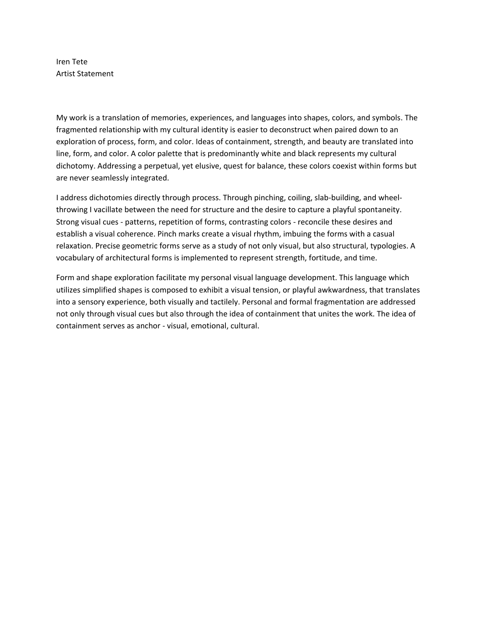Iren Tete Artist Statement

My work is a translation of memories, experiences, and languages into shapes, colors, and symbols. The fragmented relationship with my cultural identity is easier to deconstruct when paired down to an exploration of process, form, and color. Ideas of containment, strength, and beauty are translated into line, form, and color. A color palette that is predominantly white and black represents my cultural dichotomy. Addressing a perpetual, yet elusive, quest for balance, these colors coexist within forms but are never seamlessly integrated.

I address dichotomies directly through process. Through pinching, coiling, slab-building, and wheelthrowing I vacillate between the need for structure and the desire to capture a playful spontaneity. Strong visual cues - patterns, repetition of forms, contrasting colors - reconcile these desires and establish a visual coherence. Pinch marks create a visual rhythm, imbuing the forms with a casual relaxation. Precise geometric forms serve as a study of not only visual, but also structural, typologies. A vocabulary of architectural forms is implemented to represent strength, fortitude, and time.

Form and shape exploration facilitate my personal visual language development. This language which utilizes simplified shapes is composed to exhibit a visual tension, or playful awkwardness, that translates into a sensory experience, both visually and tactilely. Personal and formal fragmentation are addressed not only through visual cues but also through the idea of containment that unites the work. The idea of containment serves as anchor - visual, emotional, cultural.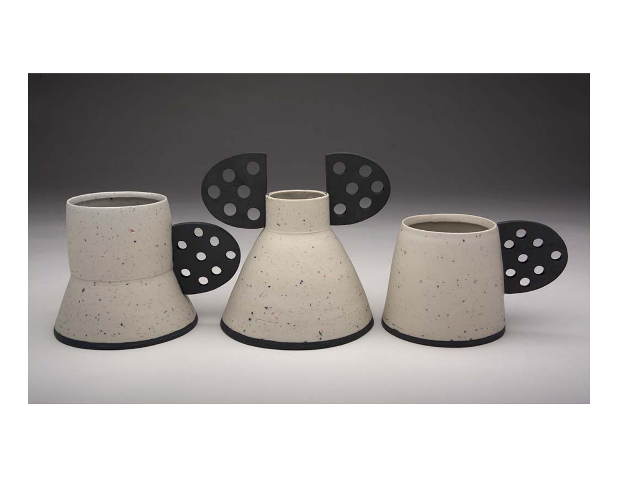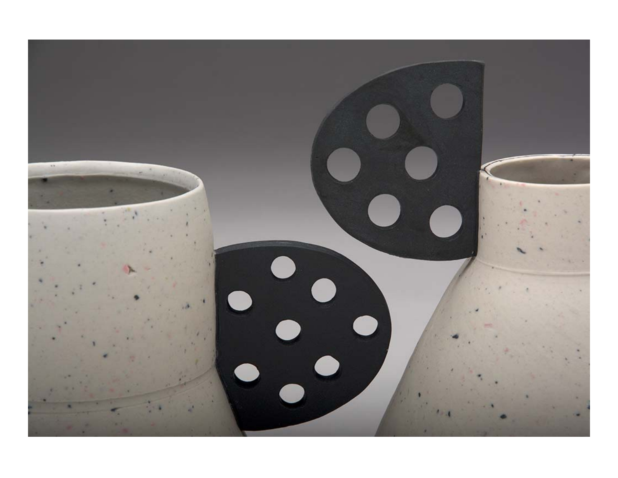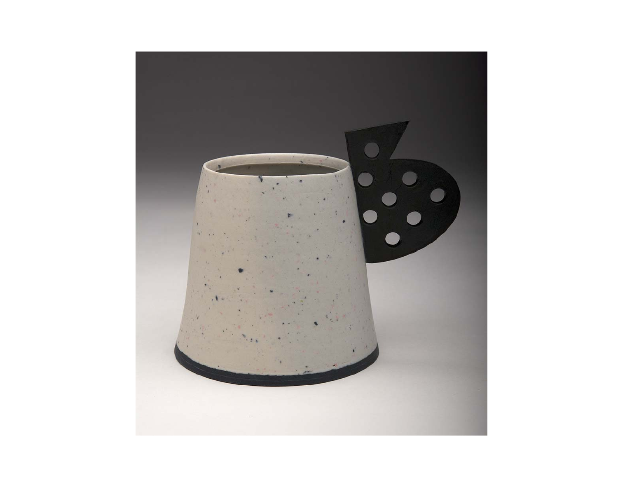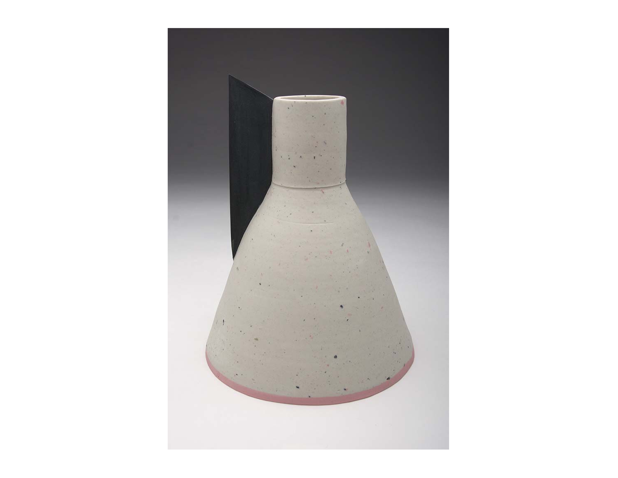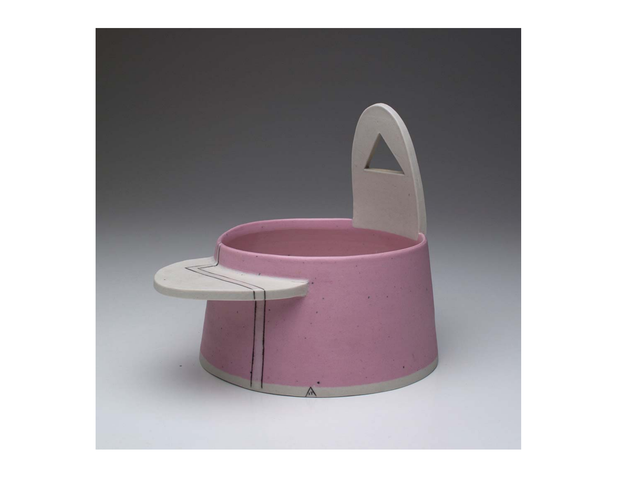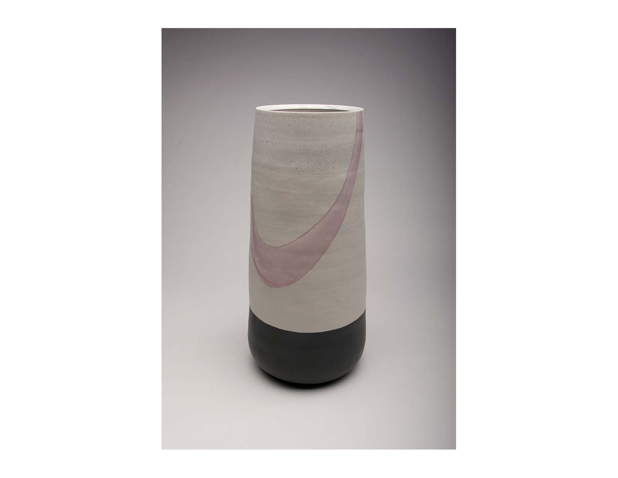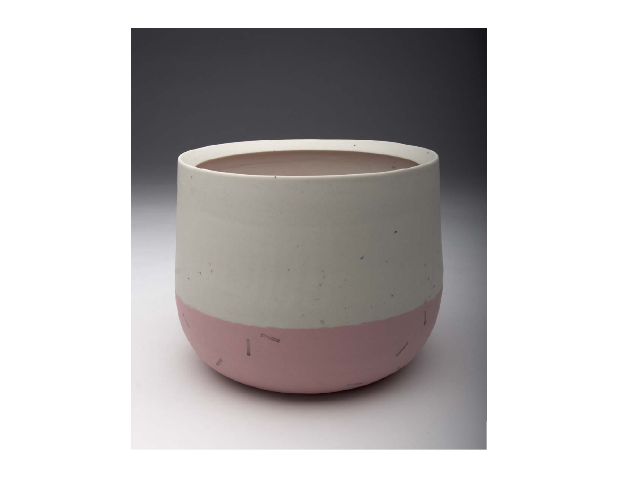